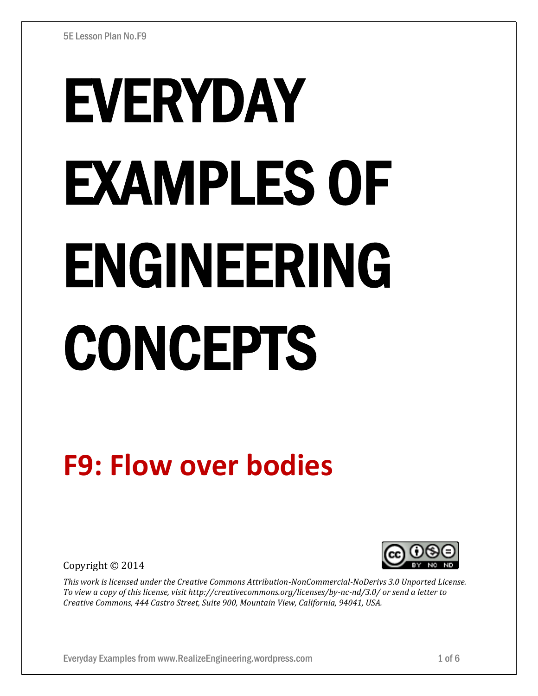# EVERYDAY EXAMPLES OF ENGINEERING CONCEPTS

# **F9: Flow over bodies**

Copyright © 2014



*This work is licensed under the Creative Commons Attribution-NonCommercial-NoDerivs 3.0 Unported License. To view a copy of this license, visit http://creativecommons.org/licenses/by-nc-nd/3.0/ or send a letter to Creative Commons, 444 Castro Street, Suite 900, Mountain View, California, 94041, USA.*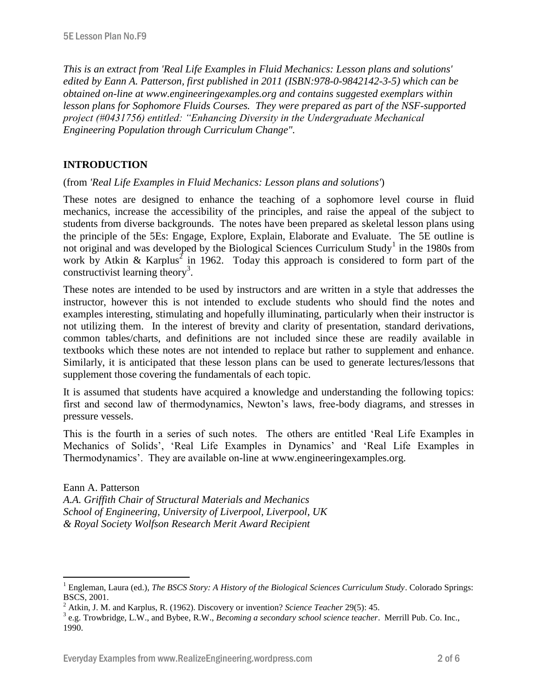*This is an extract from 'Real Life Examples in Fluid Mechanics: Lesson plans and solutions' edited by Eann A. Patterson, first published in 2011 (ISBN:978-0-9842142-3-5) which can be obtained on-line at www.engineeringexamples.org and contains suggested exemplars within lesson plans for Sophomore Fluids Courses. They were prepared as part of the NSF-supported project (#0431756) entitled: "Enhancing Diversity in the Undergraduate Mechanical Engineering Population through Curriculum Change".* 

# **INTRODUCTION**

 $\overline{a}$ 

(from *'Real Life Examples in Fluid Mechanics: Lesson plans and solutions'*)

These notes are designed to enhance the teaching of a sophomore level course in fluid mechanics, increase the accessibility of the principles, and raise the appeal of the subject to students from diverse backgrounds. The notes have been prepared as skeletal lesson plans using the principle of the 5Es: Engage, Explore, Explain, Elaborate and Evaluate. The 5E outline is not original and was developed by the Biological Sciences Curriculum Study<sup>1</sup> in the 1980s from work by Atkin & Karplus<sup>2</sup> in 1962. Today this approach is considered to form part of the constructivist learning theory<sup>3</sup>.

These notes are intended to be used by instructors and are written in a style that addresses the instructor, however this is not intended to exclude students who should find the notes and examples interesting, stimulating and hopefully illuminating, particularly when their instructor is not utilizing them. In the interest of brevity and clarity of presentation, standard derivations, common tables/charts, and definitions are not included since these are readily available in textbooks which these notes are not intended to replace but rather to supplement and enhance. Similarly, it is anticipated that these lesson plans can be used to generate lectures/lessons that supplement those covering the fundamentals of each topic.

It is assumed that students have acquired a knowledge and understanding the following topics: first and second law of thermodynamics, Newton's laws, free-body diagrams, and stresses in pressure vessels.

This is the fourth in a series of such notes. The others are entitled 'Real Life Examples in Mechanics of Solids', 'Real Life Examples in Dynamics' and 'Real Life Examples in Thermodynamics'. They are available on-line at www.engineeringexamples.org.

Eann A. Patterson *A.A. Griffith Chair of Structural Materials and Mechanics School of Engineering, University of Liverpool, Liverpool, UK & Royal Society Wolfson Research Merit Award Recipient*

<sup>&</sup>lt;sup>1</sup> Engleman, Laura (ed.), *The BSCS Story: A History of the Biological Sciences Curriculum Study*. Colorado Springs: BSCS, 2001.

<sup>2</sup> Atkin, J. M. and Karplus, R. (1962). Discovery or invention? *Science Teacher* 29(5): 45.

<sup>3</sup> e.g. Trowbridge, L.W., and Bybee, R.W., *Becoming a secondary school science teacher*. Merrill Pub. Co. Inc., 1990.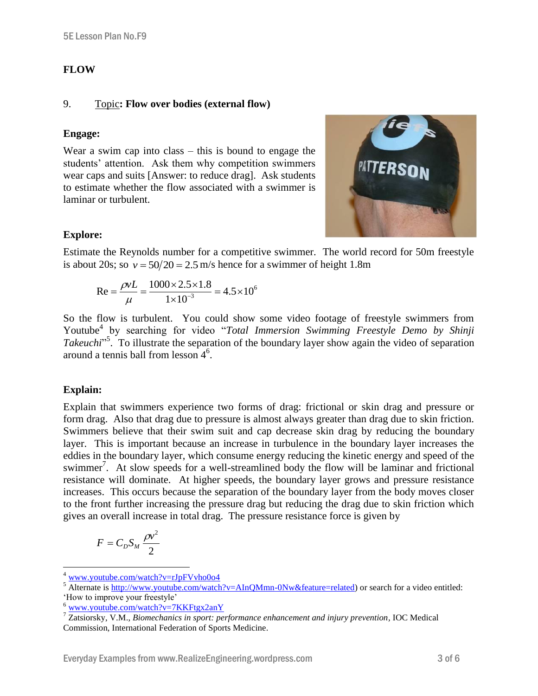#### **FLOW**

#### 9. Topic**: Flow over bodies (external flow)**

#### **Engage:**

Wear a swim cap into class – this is bound to engage the students' attention. Ask them why competition swimmers wear caps and suits [Answer: to reduce drag]. Ask students to estimate whether the flow associated with a swimmer is laminar or turbulent.



### **Explore:**

Estimate the Reynolds number for a competitive swimmer. The world record for 50m freestyle is about 20s; so  $v = 50/20 = 2.5$  m/s hence for a swimmer of height 1.8m

$$
Re = \frac{\rho vL}{\mu} = \frac{1000 \times 2.5 \times 1.8}{1 \times 10^{-3}} = 4.5 \times 10^{6}
$$

So the flow is turbulent. You could show some video footage of freestyle swimmers from Youtube<sup>4</sup> by searching for video "Total Immersion Swimming Freestyle Demo by Shinji Takeuchi<sup>"5</sup>. To illustrate the separation of the boundary layer show again the video of separation around a tennis ball from lesson 4<sup>6</sup>.

#### **Explain:**

 $\overline{a}$ 

Explain that swimmers experience two forms of drag: frictional or skin drag and pressure or form drag. Also that drag due to pressure is almost always greater than drag due to skin friction. Swimmers believe that their swim suit and cap decrease skin drag by reducing the boundary layer. This is important because an increase in turbulence in the boundary layer increases the eddies in the boundary layer, which consume energy reducing the kinetic energy and speed of the swimmer<sup>7</sup>. At slow speeds for a well-streamlined body the flow will be laminar and frictional resistance will dominate. At higher speeds, the boundary layer grows and pressure resistance increases. This occurs because the separation of the boundary layer from the body moves closer to the front further increasing the pressure drag but reducing the drag due to skin friction which gives an overall increase in total drag. The pressure resistance force is given by

$$
F=C_{D}S_{M}\frac{\rho v^{2}}{2}
$$

<sup>&</sup>lt;sup>4</sup> [www.youtube.com/watch?v=rJpFVvho0o4](http://www.youtube.com/watch?v=rJpFVvho0o4)

<sup>&</sup>lt;sup>5</sup> Alternate i[s http://www.youtube.com/watch?v=AInQMmn-0Nw&feature=related\)](http://www.youtube.com/watch?v=AInQMmn-0Nw&feature=related) or search for a video entitled: 'How to improve your freestyle'

<sup>6</sup> [www.youtube.com/watch?v=7KKFtgx2anY](http://www.youtube.com/watch?v=7KKFtgx2anY)

<sup>7</sup> Zatsiorsky, V.M., *Biomechanics in sport: performance enhancement and injury prevention,* IOC Medical Commission, International Federation of Sports Medicine.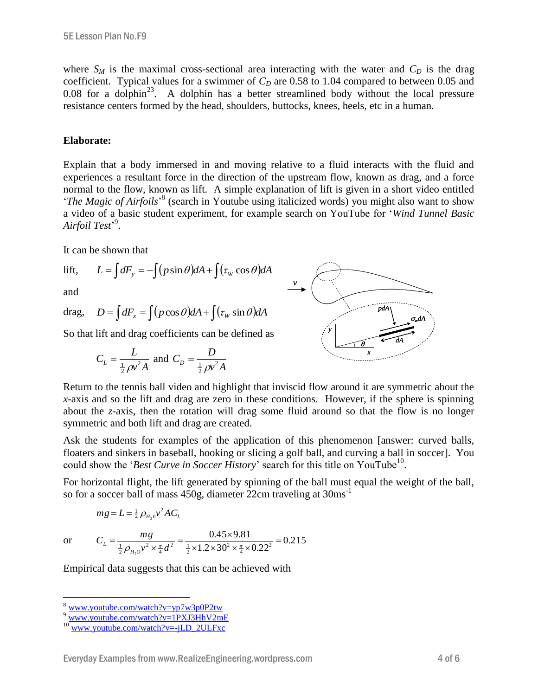where  $S_M$  is the maximal cross-sectional area interacting with the water and  $C_D$  is the drag coefficient. Typical values for a swimmer of  $C<sub>D</sub>$  are 0.58 to 1.04 compared to between 0.05 and 0.08 for a dolphin<sup>23</sup>. A dolphin has a better streamlined body without the local pressure resistance centers formed by the head, shoulders, buttocks, knees, heels, etc in a human.

#### **Elaborate:**

Explain that a body immersed in and moving relative to a fluid interacts with the fluid and experiences a resultant force in the direction of the upstream flow, known as drag, and a force normal to the flow, known as lift. A simple explanation of lift is given in a short video entitled '*The Magic of Airfoils*<sup>38</sup> (search in Youtube using italicized words) you might also want to show a video of a basic student experiment, for example search on YouTube for '*Wind Tunnel Basic Airfoil Test*' 9 .

It can be shown that

lift, 
$$
L = \int dF_y = -\int (p\sin\theta) dA + \int (\tau_w \cos\theta) dA
$$

and

drag, 
$$
D = \int dF_x = \int (p \cos \theta) dA + \int (\tau_w \sin \theta) dA
$$

So that lift and drag coefficients can be defined as

$$
C_L = \frac{L}{\frac{1}{2}\rho v^2 A}
$$
 and  $C_D = \frac{D}{\frac{1}{2}\rho v^2 A}$ 



Return to the tennis ball video and highlight that inviscid flow around it are symmetric about the *x*-axis and so the lift and drag are zero in these conditions. However, if the sphere is spinning about the *z*-axis, then the rotation will drag some fluid around so that the flow is no longer symmetric and both lift and drag are created.

Ask the students for examples of the application of this phenomenon [answer: curved balls, floaters and sinkers in baseball, hooking or slicing a golf ball, and curving a ball in soccer]. You could show the '*Best Curve in Soccer History*' search for this title on YouTube<sup>10</sup>.

For horizontal flight, the lift generated by spinning of the ball must equal the weight of the ball, so for a soccer ball of mass 450g, diameter 22cm traveling at 30ms<sup>-1</sup>

$$
mg = L = \frac{1}{2} \rho_{H_2 0} v^2 A C_L
$$

or

 $\overline{a}$ 

$$
mg = L = \frac{1}{2} \rho_{H_2 0} v^2 A C_L
$$
  

$$
C_L = \frac{mg}{\frac{1}{2} \rho_{H_2 0} v^2 \times \frac{\pi}{4} d^2} = \frac{0.45 \times 9.81}{\frac{1}{2} \times 1.2 \times 30^2 \times \frac{\pi}{4} \times 0.22^2} = 0.215
$$

Empirical data suggests that this can be achieved with

<sup>8</sup> [www.youtube.com/watch?v=yp7w3p0P2tw](http://www.youtube.com/watch?v=yp7w3p0P2tw)

<sup>&</sup>lt;sup>9</sup> [www.youtube.com/watch?v=1PXJ3HhV2mE](http://www.youtube.com/watch?v=1PXJ3HhV2mE)

 $10$  [www.youtube.com/watch?v=-jLD\\_2ULFxc](http://www.youtube.com/watch?v=-jLD_2ULFxc)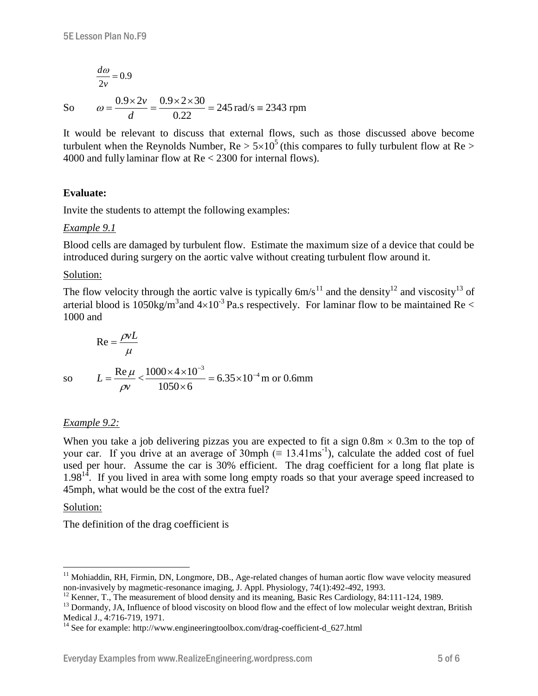$$
\frac{d\omega}{2v} = 0.9
$$

So

So 
$$
\omega = \frac{0.9 \times 2v}{d} = \frac{0.9 \times 2 \times 30}{0.22} = 245 \text{ rad/s} = 2343 \text{ rpm}
$$

It would be relevant to discuss that external flows, such as those discussed above become turbulent when the Reynolds Number,  $Re > 5 \times 10^5$  (this compares to fully turbulent flow at Re  $>$ 4000 and fully laminar flow at Re < 2300 for internal flows).

# **Evaluate:**

Invite the students to attempt the following examples:

#### *Example 9.1*

Blood cells are damaged by turbulent flow. Estimate the maximum size of a device that could be introduced during surgery on the aortic valve without creating turbulent flow around it.

#### Solution:

The flow velocity through the aortic valve is typically  $6m/s^{11}$  and the density<sup>12</sup> and viscosity<sup>13</sup> of arterial blood is 1050kg/m<sup>3</sup> and  $4\times10^{-3}$  Pa.s respectively. For laminar flow to be maintained Re < 1000 and

$$
\text{Re} = \frac{\rho v L}{\mu}
$$
  
so 
$$
L = \frac{\text{Re}\,\mu}{\rho v} < \frac{1000 \times 4 \times 10^{-3}}{1050 \times 6} = 6.35 \times 10^{-4} \text{ m or } 0.6 \text{mm}
$$

#### *Example 9.2:*

When you take a job delivering pizzas you are expected to fit a sign  $0.8m \times 0.3m$  to the top of your car. If you drive at an average of 30mph  $(\equiv 13.41 \text{ms}^{-1})$ , calculate the added cost of fuel used per hour. Assume the car is 30% efficient. The drag coefficient for a long flat plate is  $1.98<sup>14</sup>$ . If you lived in area with some long empty roads so that your average speed increased to 45mph, what would be the cost of the extra fuel?

#### Solution:

 $\overline{a}$ 

The definition of the drag coefficient is

<sup>&</sup>lt;sup>11</sup> Mohiaddin, RH, Firmin, DN, Longmore, DB., Age-related changes of human aortic flow wave velocity measured non-invasively by magmetic-resonance imaging, J. Appl. Physiology, 74(1):492-492, 1993.

<sup>&</sup>lt;sup>12</sup> Kenner, T., The measurement of blood density and its meaning, Basic Res Cardiology, 84:111-124, 1989.

<sup>&</sup>lt;sup>13</sup> Dormandy, JA, Influence of blood viscosity on blood flow and the effect of low molecular weight dextran, British Medical J., 4:716-719, 1971.

<sup>&</sup>lt;sup>14</sup> See for example: http://www.engineeringtoolbox.com/drag-coefficient-d\_627.html